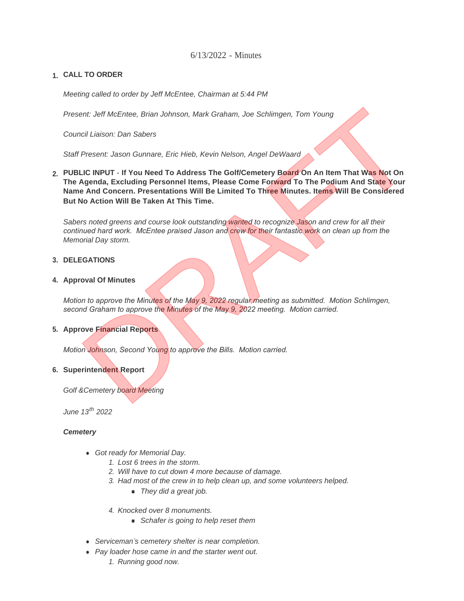# 6/13/2022 - Minutes

# **CALL TO ORDER 1.**

*Meeting called to order by Jeff McEntee, Chairman at 5:44 PM*

*Present: Jeff McEntee, Brian Johnson, Mark Graham, Joe Schlimgen, Tom Young*

*Council Liaison: Dan Sabers*

*Staff Present: Jason Gunnare, Eric Hieb, Kevin Nelson, Angel DeWaard*

**PUBLIC INPUT - If You Need To Address The Golf/Cemetery Board On An Item That Was Not On 2. The Agenda, Excluding Personnel Items, Please Come Forward To The Podium And State Your Name And Concern. Presentations Will Be Limited To Three Minutes. Items Will Be Considered But No Action Will Be Taken At This Time.** ent: Jeff McEntee, Brian Johnson, Mark Graham, Joe Schlimgen, Tom Young<br>
Dicil Liaison: Dan Sabers<br>
Present: Jason Gunnare, Eric Hieb, Kevin Nelson, Angel DeWaard<br>
Algenda, Excluding Personnel Items, Please Come Forward To

*Sabers noted greens and course look outstanding wanted to recognize Jason and crew for all their continued hard work. McEntee praised Jason and crew for their fantastic work on clean up from the Memorial Day storm.*

### **DELEGATIONS 3.**

#### **4. Approval Of Minutes**

*Motion to approve the Minutes of the May 9, 2022 regular meeting as submitted. Motion Schlimgen, second Graham to approve the Minutes of the May 9, 2022 meeting. Motion carried.*

#### **Approve Financial Reports 5.**

*Motion Johnson, Second Young to approve the Bills. Motion carried.*

## **Superintendent Report 6.**

*Golf &Cemetery board Meeting*

*June 13th 2022*

#### *Cemetery*

- **Got ready for Memorial Day.** 
	- *1. Lost 6 trees in the storm.*
	- *2. Will have to cut down 4 more because of damage.*
	- *3. Had most of the crew in to help clean up, and some volunteers helped.* 
		- *They did a great job.*
	- *4. Knocked over 8 monuments.* 
		- **n** *Schafer is going to help reset them*
- **•** Serviceman's cemetery shelter is near completion.
- **•** Pay loader hose came in and the starter went out.
	- *1. Running good now.*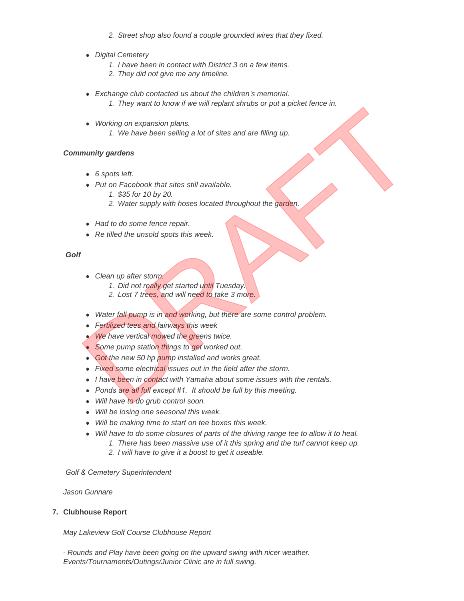- *2. Street shop also found a couple grounded wires that they fixed.*
- **•** Digital Cemetery
	- *1. I have been in contact with District 3 on a few items.*
	- *2. They did not give me any timeline.*
- **Exchange club contacted us about the children's memorial.** 
	- *1. They want to know if we will replant shrubs or put a picket fence in.*
- **•** Working on expansion plans. *1. We have been selling a lot of sites and are filling up.* 1. They want to know in we will replain sincols of put a picket reflue in the Working on expansion plans.<br>
• Working on expansion plans<br>
• The shows been selling a lot of sites and are filling up.<br>
• Put on Facebook that

## *Community gardens*

- **6** spots left.
- **Put on Facebook that sites still available.** 
	- *1. \$35 for 10 by 20.*
	- *2. Water supply with hoses located throughout the garden.*
- **•** Had to do some fence repair.
- Re tilled the unsold spots this week.

### *Golf*

- **.** *Clean up after storm.* 
	- *1. Did not really get started until Tuesday.*
	- *2. Lost 7 trees, and will need to take 3 more.*
- Water fall pump is in and working, but there are some control problem.
- <sup>l</sup> *Fertilized tees and fairways this week*
- **We have vertical mowed the greens twice.**
- **.** Some pump station things to get worked out.
- **.** Got the new 50 hp pump installed and works great.
- **Eixed some electrical issues out in the field after the storm.**
- **.** *I have been in contact with Yamaha about some issues with the rentals.*
- Ponds are all full except #1. It should be full by this meeting.
- <sup>l</sup> *Will have to do grub control soon.*
- <sup>l</sup> *Will be losing one seasonal this week.*
- $\bullet$  *Will be making time to start on tee boxes this week.*
- Will have to do some closures of parts of the driving range tee to allow it to heal.
	- *1. There has been massive use of it this spring and the turf cannot keep up.*
	- *2. I will have to give it a boost to get it useable.*

#### *Golf & Cemetery Superintendent*

*Jason Gunnare*

## **Clubhouse Report 7.**

*May Lakeview Golf Course Clubhouse Report*

*- Rounds and Play have been going on the upward swing with nicer weather. Events/Tournaments/Outings/Junior Clinic are in full swing.*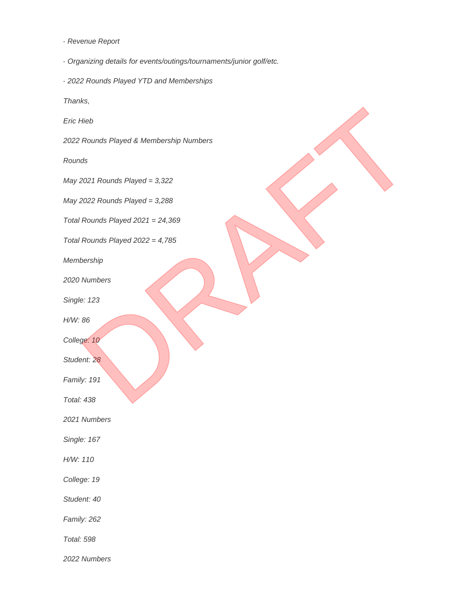- *Revenue Report*
- *Organizing details for events/outings/tournaments/junior golf/etc.*
- *2022 Rounds Played YTD and Memberships*

*Thanks,*

*Eric Hieb*

*2022 Rounds Played & Membership Numbers* Hieb<br>Rounds Played & Membership Numbers<br>ds<br>2021 Rounds Played = 3,322<br>Rounds Played 2021 = 24,369<br>Rounds Played 2022 = 4,785<br>Rounds Played 2022 = 4,785<br>Numbers<br>e: 123<br>96<br>Pour Played 2022 = 4,785<br>Porship<br>Numbers<br>e: 123<br>96<br>P

*Rounds*

*May 2021 Rounds Played = 3,322*

*May 2022 Rounds Played = 3,288*

*Total Rounds Played 2021 = 24,369*

*Total Rounds Played 2022 = 4,785*

*Membership*

*2020 Numbers*

*Single: 123*

*H/W: 86*

*College: 10*

*Student: 28*

*Family: 191*

*Total: 438*

*2021 Numbers*

*Single: 167*

*H/W: 110*

*College: 19*

*Student: 40*

*Family: 262*

*Total: 598*

*2022 Numbers*